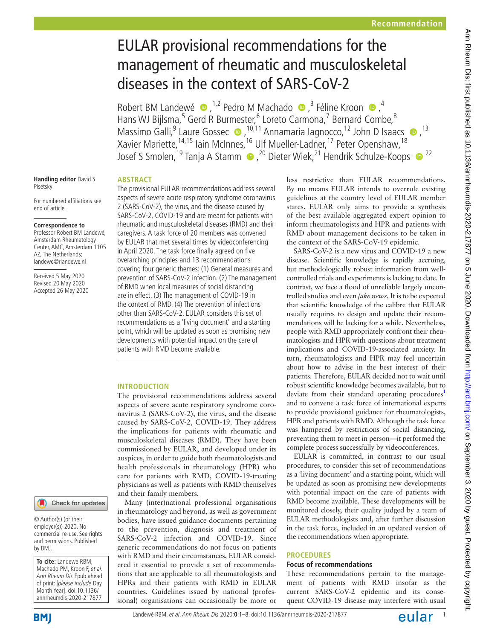# EULAR provisional recommendations for the management of rheumatic and musculoskeletal diseases in the context of SARS-CoV-2

RobertBM Landewé  $\bullet$ , <sup>1,2</sup> Pedro M Machado  $\bullet$ , <sup>3</sup> Féline Kroon  $\bullet$ , <sup>4</sup> Hans WJ Bijlsma,<sup>5</sup> Gerd R Burmester,<sup>6</sup> Loreto Carmona,<sup>7</sup> Bernard Combe,<sup>8</sup> MassimoGalli,<sup>9</sup> Laure Gossec (D, <sup>10,11</sup> Annamaria Iagnocco, <sup>12</sup> John D Isaacs (D, <sup>13</sup>) Xavier Mariette, <sup>14,15</sup> Iain McInnes, <sup>16</sup> Ulf Mueller-Ladner, <sup>17</sup> Peter Openshaw, <sup>18</sup> Josef S Smolen,<sup>19</sup> Tanja A Stamm (D, <sup>20</sup> Dieter Wiek,<sup>21</sup> Hendrik Schulze-Koops (D<sup>22</sup>

#### **Handling editor** David S Pisetsky

For numbered affiliations see end of article.

## **Correspondence to**

Professor Robert BM Landewé, Amsterdam Rheumatology Center, AMC, Amsterdam 1105 AZ, The Netherlands; landewe@rlandewe.nl

Received 5 May 2020 Revised 20 May 2020 Accepted 26 May 2020

## **Abstract**

The provisional EULAR recommendations address several aspects of severe acute respiratory syndrome coronavirus 2 (SARS-CoV-2), the virus, and the disease caused by SARS-CoV-2, COVID-19 and are meant for patients with rheumatic and musculoskeletal diseases (RMD) and their caregivers. A task force of 20 members was convened by EULAR that met several times by videoconferencing in April 2020. The task force finally agreed on five overarching principles and 13 recommendations covering four generic themes: (1) General measures and prevention of SARS-CoV-2 infection. (2) The management of RMD when local measures of social distancing are in effect. (3) The management of COVID-19 in the context of RMD. (4) The prevention of infections other than SARS-CoV-2. EULAR considers this set of recommendations as a 'living document' and a starting point, which will be updated as soon as promising new developments with potential impact on the care of patients with RMD become available.

## **Introduction**

The provisional recommendations address several aspects of severe acute respiratory syndrome coronavirus 2 (SARS-CoV-2), the virus, and the disease caused by SARS-CoV-2, COVID-19. They address the implications for patients with rheumatic and musculoskeletal diseases (RMD). They have been commissioned by EULAR, and developed under its auspices, in order to guide both rheumatologists and health professionals in rheumatology (HPR) who care for patients with RMD, COVID-19-treating physicians as well as patients with RMD themselves and their family members.

Many (inter)national professional organisations in rheumatology and beyond, as well as government bodies, have issued guidance documents pertaining to the prevention, diagnosis and treatment of SARS-CoV-2 infection and COVID-19. Since generic recommendations do not focus on patients with RMD and their circumstances, EULAR considered it essential to provide a set of recommendations that are applicable to all rheumatologists and HPRs and their patients with RMD in EULAR countries. Guidelines issued by national (professional) organisations can occasionally be more or less restrictive than EULAR recommendations. By no means EULAR intends to overrule existing guidelines at the country level of EULAR member states. EULAR only aims to provide a synthesis of the best available aggregated expert opinion to inform rheumatologists and HPR and patients with RMD about management decisions to be taken in the context of the SARS-CoV-19 epidemic.

SARS-CoV-2 is a new virus and COVID-19 a new disease. Scientific knowledge is rapidly accruing, but methodologically robust information from wellcontrolled trials and experiments is lacking to date. In contrast, we face a flood of unreliable largely uncontrolled studies and even *fake news*. It is to be expected that scientific knowledge of the calibre that EULAR usually requires to design and update their recommendations will be lacking for a while. Nevertheless, people with RMD appropriately confront their rheumatologists and HPR with questions about treatment implications and COVID-19-associated anxiety. In turn, rheumatologists and HPR may feel uncertain about how to advise in the best interest of their patients. Therefore, EULAR decided not to wait until robust scientific knowledge becomes available, but to deviate from their standard operating procedures<sup>1</sup> and to convene a task force of international experts to provide provisional guidance for rheumatologists, HPR and patients with RMD. Although the task force was hampered by restrictions of social distancing, preventing them to meet in person—it performed the complete process successfully by videoconferences.

EULAR is committed, in contrast to our usual procedures, to consider this set of recommendations as a 'living document' and a starting point, which will be updated as soon as promising new developments with potential impact on the care of patients with RMD become available. These developments will be monitored closely, their quality judged by a team of EULAR methodologists and, after further discussion in the task force, included in an updated version of the recommendations when appropriate.

## **Procedures**

## **Focus of recommendations**

These recommendations pertain to the management of patients with RMD insofar as the current SARS-CoV-2 epidemic and its consequent COVID-19 disease may interfere with usual

Check for updates

© Author(s) (or their employer(s)) 2020. No commercial re-use. See rights and permissions. Published by BMJ.

**To cite:** Landewé RBM, Machado PM, Kroon F, et al. Ann Rheum Dis Epub ahead of print: [please include Day Month Year]. doi:10.1136/ annrheumdis-2020-217877

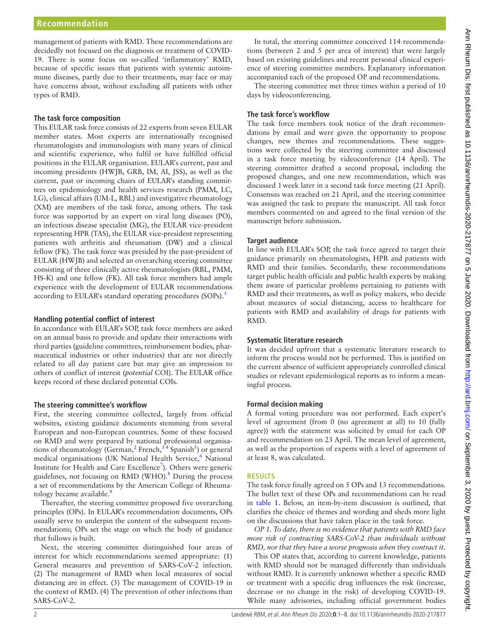management of patients with RMD. These recommendations are decidedly not focused on the diagnosis or treatment of COVID-19. There is some focus on so-called 'inflammatory' RMD, because of specific issues that patients with systemic autoimmune diseases, partly due to their treatments, may face or may have concerns about, without excluding all patients with other types of RMD.

#### **The task force composition**

This EULAR task force consists of 22 experts from seven EULAR member states. Most experts are internationally recognised rheumatologists and immunologists with many years of clinical and scientific experience, who fulfil or have fulfilled official positions in the EULAR organisation. EULAR's current, past and incoming presidents (HWJB, GRB, IM, AI, JSS), as well as the current, past or incoming chairs of EULAR's standing committees on epidemiology and health services research (PMM, LC, LG), clinical affairs (UM-L, RBL) and investigative rheumatology (XM) are members of the task force, among others. The task force was supported by an expert on viral lung diseases (PO), an infectious disease specialist (MG), the EULAR vice-president representing HPR (TAS), the EULAR vice-president representing patients with arthritis and rheumatism (DW) and a clinical fellow (FK). The task force was presided by the past-president of EULAR (HWJB) and selected an overarching steering committee consisting of three clinically active rheumatologists (RBL, PMM, HS-K) and one fellow (FK). All task force members had ample experience with the development of EULAR recommendations according to EULAR's standard operating procedures (SOPs).<sup>[1](#page-6-0)</sup>

#### **Handling potential conflict of interest**

In accordance with EULAR's SOP, task force members are asked on an annual basis to provide and update their interactions with third parties (guideline committees, reimbursement bodies, pharmaceutical industries or other industries) that are not directly related to all day patient care but may give an impression to others of conflict of interest (*potential* COI). The EULAR office keeps record of these declared potential COIs.

#### **The steering committee's workflow**

First, the steering committee collected, largely from official websites, existing guidance documents stemming from several European and non-European countries. Some of these focused on RMD and were prepared by national professional organisations of rheumatology (German,<sup>2</sup> French,<sup>34</sup> Spanish<sup>5</sup>) or general medical organisations (UK National Health Service,<sup>[6](#page-6-4)</sup> National Institute for Health and Care Excellence<sup>[7](#page-7-0)</sup>). Others were generic guidelines, not focusing on RMD (WHO).<sup>8</sup> During the process a set of recommendations by the American College of Rheumatology became available.<sup>9</sup>

Thereafter, the steering committee proposed five overarching principles (OPs). In EULAR's recommendation documents, OPs usually serve to underpin the content of the subsequent recommendations; OPs set the stage on which the body of guidance that follows is built.

Next, the steering committee distinguished four areas of interest for which recommendations seemed appropriate: (1) General measures and prevention of SARS-CoV-2 infection. (2) The management of RMD when local measures of social distancing are in effect. (3) The management of COVID-19 in the context of RMD. (4) The prevention of other infections than SARS-CoV-2.

In total, the steering committee conceived 114 recommendations (between 2 and 5 per area of interest) that were largely based on existing guidelines and recent personal clinical experience of steering committee members. Explanatory information accompanied each of the proposed OP and recommendations.

The steering committee met three times within a period of 10 days by videoconferencing.

#### **The task force's workflow**

The task force members took notice of the draft recommendations by email and were given the opportunity to propose changes, new themes and recommendations. These suggestions were collected by the steering committee and discussed in a task force meeting by videoconference (14 April). The steering committee drafted a second proposal, including the proposed changes, and one new recommendation, which was discussed 1week later in a second task force meeting (21 April). Consensus was reached on 21 April, and the steering committee was assigned the task to prepare the manuscript. All task force members commented on and agreed to the final version of the manuscript before submission.

## **Target audience**

In line with EULAR's SOP, the task force agreed to target their guidance primarily on rheumatologists, HPR and patients with RMD and their families. Secondarily, these recommendations target public health officials and public health experts by making them aware of particular problems pertaining to patients with RMD and their treatments, as well as policy makers, who decide about measures of social distancing, access to healthcare for patients with RMD and availability of drugs for patients with RMD.

#### **Systematic literature research**

It was decided upfront that a systematic literature research to inform the process would not be performed. This is justified on the current absence of sufficient appropriately controlled clinical studies or relevant epidemiological reports as to inform a meaningful process.

#### **Formal decision making**

A formal voting procedure was not performed. Each expert's level of agreement (from 0 (no agreement at all) to 10 (fully agree)) with the statement was solicited by email for each OP and recommendation on 23 April. The mean level of agreement, as well as the proportion of experts with a level of agreement of at least 8, was calculated.

#### **Results**

The task force finally agreed on 5 OPs and 13 recommendations. The bullet text of these OPs and recommendations can be read in [table](#page-2-0) 1. Below, an item-by-item discussion is outlined, that clarifies the choice of themes and wording and sheds more light on the discussions that have taken place in the task force.

*OP 1. To date, there is no evidence that patients with RMD face more risk of contracting SARS-CoV-2 than individuals without RMD, nor that they have a worse prognosis when they contract it.*

This OP states that, according to current knowledge, patients with RMD should not be managed differently than individuals without RMD. It is currently unknown whether a specific RMD or treatment with a specific drug influences the risk (increase, decrease or no change in the risk) of developing COVID-19. While many advisories, including official government bodies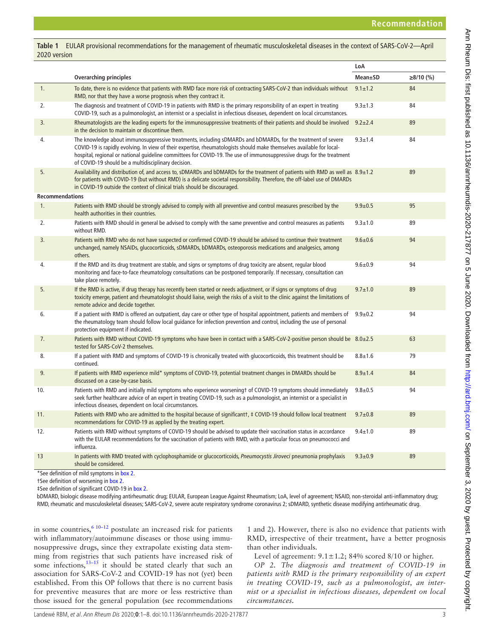<span id="page-2-0"></span>**Table 1** EULAR provisional recommendations for the management of rheumatic musculoskeletal diseases in the context of SARS-CoV-2—April 2020 version

|                        |                                                                                                                                                                                                                                                                                                                                                                                                                        | LoA             |             |
|------------------------|------------------------------------------------------------------------------------------------------------------------------------------------------------------------------------------------------------------------------------------------------------------------------------------------------------------------------------------------------------------------------------------------------------------------|-----------------|-------------|
|                        | <b>Overarching principles</b>                                                                                                                                                                                                                                                                                                                                                                                          | <b>Mean</b> ±SD | $≥8/10$ (%) |
| 1.                     | To date, there is no evidence that patients with RMD face more risk of contracting SARS-CoV-2 than individuals without<br>RMD, nor that they have a worse prognosis when they contract it.                                                                                                                                                                                                                             | $9.1 \pm 1.2$   | 84          |
| 2.                     | The diagnosis and treatment of COVID-19 in patients with RMD is the primary responsibility of an expert in treating<br>COVID-19, such as a pulmonologist, an internist or a specialist in infectious diseases, dependent on local circumstances.                                                                                                                                                                       | $9.3 \pm 1.3$   | 84          |
| 3.                     | Rheumatologists are the leading experts for the immunosuppressive treatments of their patients and should be involved<br>in the decision to maintain or discontinue them.                                                                                                                                                                                                                                              | $9.2 + 2.4$     | 89          |
| 4.                     | The knowledge about immunosuppressive treatments, including sDMARDs and bDMARDs, for the treatment of severe<br>COVID-19 is rapidly evolving. In view of their expertise, rheumatologists should make themselves available for local-<br>hospital, regional or national guideline committees for COVID-19. The use of immunosuppressive drugs for the treatment<br>of COVID-19 should be a multidisciplinary decision. | $9.3 + 1.4$     | 84          |
| 5.                     | Availability and distribution of, and access to, sDMARDs and bDMARDs for the treatment of patients with RMD as well as $8.9\pm1.2$<br>for patients with COVID-19 (but without RMD) is a delicate societal responsibility. Therefore, the off-label use of DMARDs<br>in COVID-19 outside the context of clinical trials should be discouraged.                                                                          |                 | 89          |
| <b>Recommendations</b> |                                                                                                                                                                                                                                                                                                                                                                                                                        |                 |             |
| 1.                     | Patients with RMD should be strongly advised to comply with all preventive and control measures prescribed by the<br>health authorities in their countries.                                                                                                                                                                                                                                                            | $9.9 + 0.5$     | 95          |
| 2.                     | Patients with RMD should in general be advised to comply with the same preventive and control measures as patients<br>without RMD.                                                                                                                                                                                                                                                                                     | $9.3 + 1.0$     | 89          |
| 3.                     | Patients with RMD who do not have suspected or confirmed COVID-19 should be advised to continue their treatment<br>unchanged, namely NSAIDs, glucocorticoids, sDMARDs, bDMARDs, osteoporosis medications and analgesics, among<br>others.                                                                                                                                                                              | $9.6 + 0.6$     | 94          |
| 4.                     | If the RMD and its drug treatment are stable, and signs or symptoms of drug toxicity are absent, regular blood<br>monitoring and face-to-face rheumatology consultations can be postponed temporarily. If necessary, consultation can<br>take place remotely.                                                                                                                                                          | $9.6 + 0.9$     | 94          |
| 5.                     | If the RMD is active, if drug therapy has recently been started or needs adjustment, or if signs or symptoms of drug<br>toxicity emerge, patient and rheumatologist should liaise, weigh the risks of a visit to the clinic against the limitations of<br>remote advice and decide together.                                                                                                                           | $9.7 \pm 1.0$   | 89          |
| 6.                     | If a patient with RMD is offered an outpatient, day care or other type of hospital appointment, patients and members of<br>the rheumatology team should follow local quidance for infection prevention and control, including the use of personal<br>protection equipment if indicated.                                                                                                                                | $9.9 + 0.2$     | 94          |
| 7.                     | Patients with RMD without COVID-19 symptoms who have been in contact with a SARS-CoV-2-positive person should be 8.0±2.5<br>tested for SARS-CoV-2 themselves.                                                                                                                                                                                                                                                          |                 | 63          |
| 8.                     | If a patient with RMD and symptoms of COVID-19 is chronically treated with glucocorticoids, this treatment should be<br>continued.                                                                                                                                                                                                                                                                                     | $8.8 + 1.6$     | 79          |
| 9.                     | If patients with RMD experience mild* symptoms of COVID-19, potential treatment changes in DMARDs should be<br>discussed on a case-by-case basis.                                                                                                                                                                                                                                                                      | $8.9 \pm 1.4$   | 84          |
| 10.                    | Patients with RMD and initially mild symptoms who experience worseningt of COVID-19 symptoms should immediately<br>seek further healthcare advice of an expert in treating COVID-19, such as a pulmonologist, an internist or a specialist in<br>infectious diseases, dependent on local circumstances.                                                                                                                | $9.8 + 0.5$     | 94          |
| 11.                    | Patients with RMD who are admitted to the hospital because of significantt, # COVID-19 should follow local treatment<br>recommendations for COVID-19 as applied by the treating expert.                                                                                                                                                                                                                                | $9.7 \pm 0.8$   | 89          |
| 12.                    | Patients with RMD without symptoms of COVID-19 should be advised to update their vaccination status in accordance<br>with the EULAR recommendations for the vaccination of patients with RMD, with a particular focus on pneumococci and<br>influenza.                                                                                                                                                                 | $9.4 \pm 1.0$   | 89          |
| 13                     | In patients with RMD treated with cyclophosphamide or glucocorticoids, Pneumocystis Jiroveci pneumonia prophylaxis<br>should be considered.                                                                                                                                                                                                                                                                            | $9.3 \pm 0.9$   | 89          |

\*See definition of mild symptoms in [box 2.](#page-3-0)

†See definition of worsening in [box 2](#page-3-0).

‡See definition of significant COVID-19 in [box 2.](#page-3-0)

bDMARD, biologic disease modifying antirheumatic drug; EULAR, European League Against Rheumatism; LoA, level of agreement; NSAID, non-steroidal anti-inflammatory drug; RMD, rheumatic and musculoskeletal diseases; SARS-CoV-2, severe acute respiratory syndrome coronavirus 2; sDMARD, synthetic disease modifying antirheumatic drug.

in some countries, $6^{6}$ <sup>10–12</sup> postulate an increased risk for patients with inflammatory/autoimmune diseases or those using immunosuppressive drugs, since they extrapolate existing data stemming from registries that such patients have increased risk of some infections, $13-15$  it should be stated clearly that such an association for SARS-CoV-2 and COVID-19 has not (yet) been established. From this OP follows that there is no current basis for preventive measures that are more or less restrictive than those issued for the general population (see recommendations

1 and 2). However, there is also no evidence that patients with RMD, irrespective of their treatment, have a better prognosis than other individuals.

Level of agreement:  $9.1 \pm 1.2$ ; 84% scored 8/10 or higher.

*OP 2. The diagnosis and treatment of COVID-19 in patients with RMD is the primary responsibility of an expert in treating COVID-19, such as a pulmonologist, an internist or a specialist in infectious diseases, dependent on local circumstances.*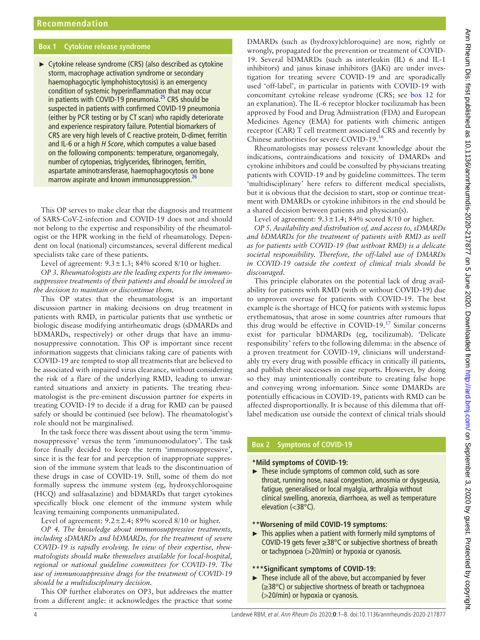## **Box 1 Cytokine release syndrome**

<span id="page-3-1"></span>► Cytokine release syndrome (CRS) (also described as cytokine storm, macrophage activation syndrome or secondary haemophagocytic lymphohistocytosis) is an emergency condition of systemic hyperinflammation that may occur in patients with COVID-19 pneumonia.<sup>25</sup> CRS should be suspected in patients with confirmed COVID-19 pneumonia (either by PCR testing or by CT scan) who rapidly deteriorate and experience respiratory failure. Potential biomarkers of CRS are very high levels of C reactive protein, D-dimer, ferritin and IL-6 or a high *H Score*, which computes a value based on the following components: temperature, organomegaly, number of cytopenias, triglycerides, fibrinogen, ferritin, aspartate aminotransferase, haemophagocytosis on bone marrow aspirate and known immunosuppression.<sup>26</sup>

This OP serves to make clear that the diagnosis and treatment of SARS-CoV-2-infection and COVID-19 does not and should not belong to the expertise and responsibility of the rheumatologist or the HPR working in the field of rheumatology. Dependent on local (national) circumstances, several different medical specialists take care of these patients.

Level of agreement:  $9.3 \pm 1.3$ ; 84% scored 8/10 or higher.

*OP 3. Rheumatologists are the leading experts for the immunosuppressive treatments of their patients and should be involved in the decision to maintain or discontinue them.*

This OP states that the rheumatologist is an important discussion partner in making decisions on drug treatment in patients with RMD, in particular patients that use synthetic or biologic disease modifying antirheumatic drugs (sDMARDs and bDMARDs, respectively) or other drugs that have an immunosuppressive connotation. This OP is important since recent information suggests that clinicians taking care of patients with COVID-19 are tempted to stop all treatments that are believed to be associated with impaired virus clearance, without considering the risk of a flare of the underlying RMD, leading to unwarranted situations and anxiety in patients. The treating rheumatologist is the pre-eminent discussion partner for experts in treating COVID-19 to decide if a drug for RMD can be paused safely or should be continued (see below). The rheumatologist's role should not be marginalised.

In the task force there was dissent about using the term 'immunosuppressive' versus the term 'immunomodulatory'. The task force finally decided to keep the term 'immunosuppressive', since it is the fear for and perception of inappropriate suppression of the immune system that leads to the discontinuation of these drugs in case of COVID-19. Still, some of them do not formally supress the immune system (eg, hydroxychloroquine (HCQ) and sulfasalazine) and bDMARDs that target cytokines specifically block one element of the immune system while leaving remaining components unmanipulated.

Level of agreement:  $9.2 \pm 2.4$ ; 89% scored 8/10 or higher.

*OP 4. The knowledge about immunosuppressive treatments, including sDMARDs and bDMARDs, for the treatment of severe COVID-19 is rapidly evolving. In view of their expertise, rheumatologists should make themselves available for local-hospital, regional or national guideline committees for COVID-19. The use of immunosuppressive drugs for the treatment of COVID-19 should be a multidisciplinary decision.*

This OP further elaborates on OP3, but addresses the matter from a different angle: it acknowledges the practice that some

DMARDs (such as (hydroxy)chloroquine) are now, rightly or wrongly, propagated for the prevention or treatment of COVID-19. Several bDMARDs (such as interleukin (IL) 6 and IL-1 inhibitors) and janus kinase inhibitors (JAKi) are under investigation for treating severe COVID-19 and are sporadically used 'off-label', in particular in patients with COVID-19 with concomitant cytokine release syndrome (CRS; see [box](#page-3-1) 12 for an explanation). The IL-6 receptor blocker tocilizumab has been approved by Food and Drug Admiistration (FDA) and European Medicines Agency (EMA) for patients with chimeric antigen receptor (CAR) T cell treatment associated CRS and recently by Chinese authorities for severe COVID-19[.16](#page-7-6)

Rheumatologists may possess relevant knowledge about the indications, contraindications and toxicity of DMARDs and cytokine inhibitors and could be consulted by physicians treating patients with COVID-19 and by guideline committees. The term 'multidisciplinary' here refers to different medical specialists, but it is obvious that the decision to start, stop or continue treatment with DMARDs or cytokine inhibitors in the end should be a shared decision between patients and physician(s).

Level of agreement:  $9.3 \pm 1.4$ ; 84% scored 8/10 or higher.

*OP 5. Availability and distribution of, and access to, sDMARDs and bDMARDs for the treatment of patients with RMD as well as for patients with COVID-19 (but without RMD) is a delicate societal responsibility. Therefore, the off-label use of DMARDs in COVID-19 outside the context of clinical trials should be discouraged*.

This principle elaborates on the potential lack of drug availability for patients with RMD (with or without COVID-19) due to unproven overuse for patients with COVID-19. The best example is the shortage of HCQ for patients with systemic lupus erythematosus, that arose in some countries after rumours that this drug would be effective in COVID-19. $17$  Similar concerns exist for particular bDMARDs (eg, tocilizumab). 'Delicate responsibility' refers to the following dilemma: in the absence of a proven treatment for COVID-19, clinicians will understandably try every drug with possible efficacy in critically ill patients, and publish their successes in case reports. However, by doing so they may unintentionally contribute to creating false hope and conveying wrong information. Since some DMARDs are potentially efficacious in COVID-19, patients with RMD can be affected disproportionally. It is because of this dilemma that offlabel medication use outside the context of clinical trials should

## **Box 2 Symptoms of COVID-19**

## <span id="page-3-0"></span>**\*Mild symptoms of COVID-19:**

► These include symptoms of common cold, such as sore throat, running nose, nasal congestion, anosmia or dysgeusia, fatigue, generalised or local myalgia, arthralgia without clinical swelling, anorexia, diarrhoea, as well as temperature elevation (<38°C).

## **\*\*Worsening of mild COVID-19 symptoms:**

► This applies when a patient with formerly mild symptoms of COVID-19 gets fever ≥38°C or subjective shortness of breath or tachypnoea (>20/min) or hypoxia or cyanosis.

## **\*\*\*Significant symptoms of COVID-19:**

 $\blacktriangleright$  These include all of the above, but accompanied by fever (≥38°C) or subjective shortness of breath or tachypnoea (>20/min) or hypoxia or cyanosis.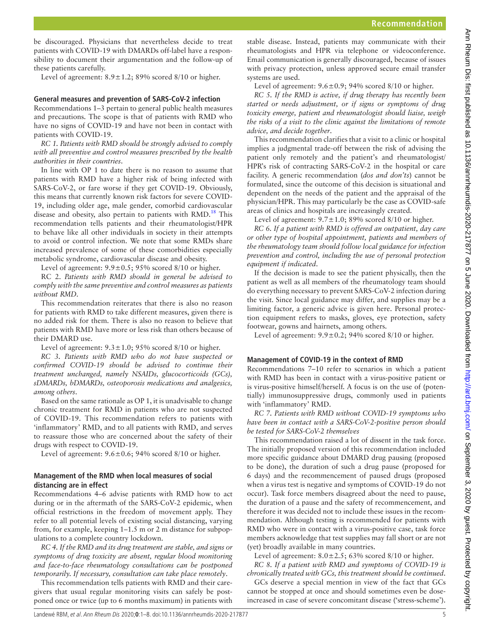be discouraged. Physicians that nevertheless decide to treat patients with COVID-19 with DMARDs off-label have a responsibility to document their argumentation and the follow-up of these patients carefully.

Level of agreement:  $8.9 \pm 1.2$ ; 89% scored 8/10 or higher.

#### **General measures and prevention of SARS-CoV-2 infection**

Recommendations 1–3 pertain to general public health measures and precautions. The scope is that of patients with RMD who have no signs of COVID-19 and have not been in contact with patients with COVID-19.

*RC 1. Patients with RMD should be strongly advised to comply with all preventive and control measures prescribed by the health authorities in their countries*.

In line with OP 1 to date there is no reason to assume that patients with RMD have a higher risk of being infected with SARS-CoV-2, or fare worse if they get COVID-19. Obviously, this means that currently known risk factors for severe COVID-19, including older age, male gender, comorbid cardiovascular disease and obesity, also pertain to patients with  $RMD<sup>18</sup>$  $RMD<sup>18</sup>$  $RMD<sup>18</sup>$ . This recommendation tells patients and their rheumatologist/HPR to behave like all other individuals in society in their attempts to avoid or control infection. We note that some RMDs share increased prevalence of some of these comorbidities especially metabolic syndrome, cardiovascular disease and obesity.

Level of agreement:  $9.9 \pm 0.5$ ;  $95\%$  scored 8/10 or higher.

RC 2. *Patients with RMD should in general be advised to comply with the same preventive and control measures as patients without RMD*.

This recommendation reiterates that there is also no reason for patients with RMD to take different measures, given there is no added risk for them. There is also no reason to believe that patients with RMD have more or less risk than others because of their DMARD use.

Level of agreement:  $9.3 \pm 1.0$ ;  $95\%$  scored  $8/10$  or higher.

*RC 3. Patients with RMD who do not have suspected or confirmed COVID-19 should be advised to continue their treatment unchanged, namely NSAIDs, glucocorticoids (GCs), sDMARDs, bDMARDs, osteoporosis medications and analgesics, among others*.

Based on the same rationale as OP 1, it is unadvisable to change chronic treatment for RMD in patients who are not suspected of COVID-19. This recommendation refers to patients with 'inflammatory' RMD, and to all patients with RMD, and serves to reassure those who are concerned about the safety of their drugs with respect to COVID-19.

Level of agreement:  $9.6 \pm 0.6$ ; 94% scored 8/10 or higher.

#### **Management of the RMD when local measures of social distancing are in effect**

Recommendations 4–6 advise patients with RMD how to act during or in the aftermath of the SARS-CoV-2 epidemic, when official restrictions in the freedom of movement apply. They refer to all potential levels of existing social distancing, varying from, for example, keeping 1–1.5 m or 2 m distance for subpopulations to a complete country lockdown.

*RC 4. If the RMD and its drug treatment are stable, and signs or symptoms of drug toxicity are absent, regular blood monitoring and face-to-face rheumatology consultations can be postponed temporarily. If necessary, consultation can take place remotely*.

This recommendation tells patients with RMD and their caregivers that usual regular monitoring visits can safely be postponed once or twice (up to 6 months maximum) in patients with

stable disease. Instead, patients may communicate with their rheumatologists and HPR via telephone or videoconference. Email communication is generally discouraged, because of issues with privacy protection, unless approved secure email transfer systems are used.

Level of agreement:  $9.6 \pm 0.9$ ; 94% scored 8/10 or higher.

*RC 5. If the RMD is active, if drug therapy has recently been started or needs adjustment, or if signs or symptoms of drug toxicity emerge, patient and rheumatologist should liaise, weigh the risks of a visit to the clinic against the limitations of remote advice, and decide together*.

This recommendation clarifies that a visit to a clinic or hospital implies a judgmental trade-off between the risk of advising the patient only remotely and the patient's and rheumatologist/ HPR's risk of contracting SARS-CoV-2 in the hospital or care facility. A generic recommendation (*dos and don'ts*) cannot be formulated, since the outcome of this decision is situational and dependent on the needs of the patient and the appraisal of the physician/HPR. This may particularly be the case as COVID-safe areas of clinics and hospitals are increasingly created.

Level of agreement:  $9.7 \pm 1.0$ ; 89% scored 8/10 or higher.

*RC 6. If a patient with RMD is offered an outpatient, day care or other type of hospital appointment, patients and members of the rheumatology team should follow local guidance for infection prevention and control, including the use of personal protection equipment if indicated*.

If the decision is made to see the patient physically, then the patient as well as all members of the rheumatology team should do everything necessary to prevent SARS-CoV-2 infection during the visit. Since local guidance may differ, and supplies may be a limiting factor, a generic advice is given here. Personal protection equipment refers to masks, gloves, eye protection, safety footwear, gowns and hairnets, among others.

Level of agreement:  $9.9 \pm 0.2$ ; 94% scored 8/10 or higher.

## **Management of COVID-19 in the context of RMD**

Recommendations 7–10 refer to scenarios in which a patient with RMD has been in contact with a virus-positive patient or is virus-positive himself/herself. A focus is on the use of (potentially) immunosuppressive drugs, commonly used in patients with 'inflammatory' RMD.

*RC 7. Patients with RMD without COVID-19 symptoms who have been in contact with a SARS-CoV-2-positive person should be tested for SARS-CoV-2 themselves*

This recommendation raised a lot of dissent in the task force. The initially proposed version of this recommendation included more specific guidance about DMARD drug pausing (proposed to be done), the duration of such a drug pause (proposed for 6 days) and the recommencement of paused drugs (proposed when a virus test is negative and symptoms of COVID-19 do not occur). Task force members disagreed about the need to pause, the duration of a pause and the safety of recommencement, and therefore it was decided not to include these issues in the recommendation. Although testing is recommended for patients with RMD who were in contact with a virus-positive case, task force members acknowledge that test supplies may fall short or are not (yet) broadly available in many countries.

Level of agreement:  $8.0 \pm 2.5$ ; 63% scored 8/10 or higher. *RC 8. If a patient with RMD and symptoms of COVID-19 is* 

*chronically treated with GCs, this treatment should be continued*. GCs deserve a special mention in view of the fact that GCs cannot be stopped at once and should sometimes even be doseincreased in case of severe concomitant disease ('stress-scheme').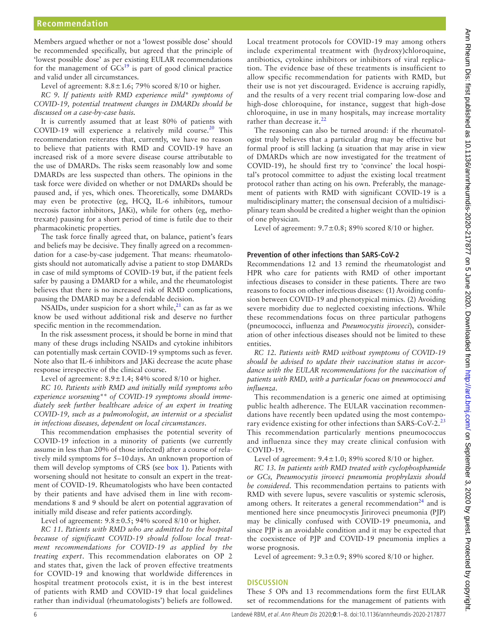Members argued whether or not a 'lowest possible dose' should be recommended specifically, but agreed that the principle of 'lowest possible dose' as per existing EULAR recommendations for the management of  $\widehat{GCs}^{19}$  is part of good clinical practice and valid under all circumstances.

Level of agreement:  $8.8 \pm 1.6$ ; 79% scored  $8/10$  or higher.

*RC 9. If patients with RMD experience mild\* symptoms of COVID-19, potential treatment changes in DMARDs should be discussed on a case-by-case basis.*

It is currently assumed that at least 80% of patients with COVID-19 will experience a relatively mild course.<sup>20</sup> This recommendation reiterates that, currently, we have no reason to believe that patients with RMD and COVID-19 have an increased risk of a more severe disease course attributable to the use of DMARDs. The risks seem reasonably low and some DMARDs are less suspected than others. The opinions in the task force were divided on whether or not DMARDs should be paused and, if yes, which ones. Theoretically, some DMARDs may even be protective (eg, HCQ, IL-6 inhibitors, tumour necrosis factor inhibitors, JAKi), while for others (eg, methotrexate) pausing for a short period of time is futile due to their pharmacokinetic properties.

The task force finally agreed that, on balance, patient's fears and beliefs may be decisive. They finally agreed on a recommendation for a case-by-case judgement. That means: rheumatologists should not automatically advise a patient to stop DMARDs in case of mild symptoms of COVID-19 but, if the patient feels safer by pausing a DMARD for a while, and the rheumatologist believes that there is no increased risk of RMD complications, pausing the DMARD may be a defendable decision.

NSAIDs, under suspicion for a short while, $^{21}$  can as far as we know be used without additional risk and deserve no further specific mention in the recommendation.

In the risk assessment process, it should be borne in mind that many of these drugs including NSAIDs and cytokine inhibitors can potentially mask certain COVID-19 symptoms such as fever. Note also that IL-6 inhibitors and JAKi decrease the acute phase response irrespective of the clinical course.

Level of agreement:  $8.9 \pm 1.4$ ;  $84\%$  scored  $8/10$  or higher.

*RC 10. Patients with RMD and initially mild symptoms who experience worsening\*\* of COVID-19 symptoms should immediately seek further healthcare advice of an expert in treating COVID-19, such as a pulmonologist, an internist or a specialist in infectious diseases, dependent on local circumstances*.

This recommendation emphasises the potential severity of COVID-19 infection in a minority of patients (we currently assume in less than 20% of those infected) after a course of relatively mild symptoms for 5–10days. An unknown proportion of them will develop symptoms of CRS (see [box](#page-3-1) 1). Patients with worsening should not hesitate to consult an expert in the treatment of COVID-19. Rheumatologists who have been contacted by their patients and have advised them in line with recommendations 8 and 9 should be alert on potential aggravation of initially mild disease and refer patients accordingly.

Level of agreement:  $9.8 \pm 0.5$ ; 94% scored 8/10 or higher.

*RC 11. Patients with RMD who are admitted to the hospital because of significant COVID-19 should follow local treatment recommendations for COVID-19 as applied by the treating expert*. This recommendation elaborates on OP 2 and states that, given the lack of proven effective treatments for COVID-19 and knowing that worldwide differences in hospital treatment protocols exist, it is in the best interest of patients with RMD and COVID-19 that local guidelines rather than individual (rheumatologists') beliefs are followed.

Local treatment protocols for COVID-19 may among others include experimental treatment with (hydroxy)chloroquine, antibiotics, cytokine inhibitors or inhibitors of viral replication. The evidence base of these treatments is insufficient to allow specific recommendation for patients with RMD, but their use is not yet discouraged. Evidence is accruing rapidly, and the results of a very recent trial comparing low-dose and high-dose chloroquine, for instance, suggest that high-dose chloroquine, in use in many hospitals, may increase mortality rather than decrease it. $^{22}$  $^{22}$  $^{22}$ 

The reasoning can also be turned around: if the rheumatologist truly believes that a particular drug may be effective but formal proof is still lacking (a situation that may arise in view of DMARDs which are now investigated for the treatment of COVID-19), he should first try to 'convince' the local hospital's protocol committee to adjust the existing local treatment protocol rather than acting on his own. Preferably, the management of patients with RMD with significant COVID-19 is a multidisciplinary matter; the consensual decision of a multidisciplinary team should be credited a higher weight than the opinion of one physician.

Level of agreement:  $9.7 \pm 0.8$ ; 89% scored 8/10 or higher.

#### **Prevention of other infections than SARS-CoV-2**

Recommendations 12 and 13 remind the rheumatologist and HPR who care for patients with RMD of other important infectious diseases to consider in these patients. There are two reasons to focus on other infectious diseases: (1) Avoiding confusion between COVID-19 and phenotypical mimics. (2) Avoiding severe morbidity due to neglected coexisting infections. While these recommendations focus on three particular pathogens (pneumococci, influenza and *Pneumocystis jiroveci*), consideration of other infectious diseases should not be limited to these entities.

*RC 12. Patients with RMD without symptoms of COVID-19 should be advised to update their vaccination status in accordance with the EULAR recommendations for the vaccination of patients with RMD, with a particular focus on pneumococci and influenza*.

This recommendation is a generic one aimed at optimising public health adherence. The EULAR vaccination recommendations have recently been updated using the most contempo-rary evidence existing for other infections than SARS-CoV-2.<sup>[23](#page-7-13)</sup> This recommendation particularly mentions pneumococcus and influenza since they may create clinical confusion with COVID-19.

Level of agreement:  $9.4 \pm 1.0$ ; 89% scored 8/10 or higher.

*RC 13. In patients with RMD treated with cyclophosphamide or GCs, Pneumocystis jiroveci pneumonia prophylaxis should be considered*. This recommendation pertains to patients with RMD with severe lupus, severe vasculitis or systemic sclerosis, among others. It reiterates a general recommendation<sup>[24](#page-7-14)</sup> and is mentioned here since pneumocystis Jiriroveci pneumonia (PJP) may be clinically confused with COVID-19 pneumonia, and since PJP is an avoidable condition and it may be expected that the coexistence of PJP and COVID-19 pneumonia implies a worse prognosis.

Level of agreement:  $9.3 \pm 0.9$ ; 89% scored 8/10 or higher.

#### **Discussion**

These 5 OPs and 13 recommendations form the first EULAR set of recommendations for the management of patients with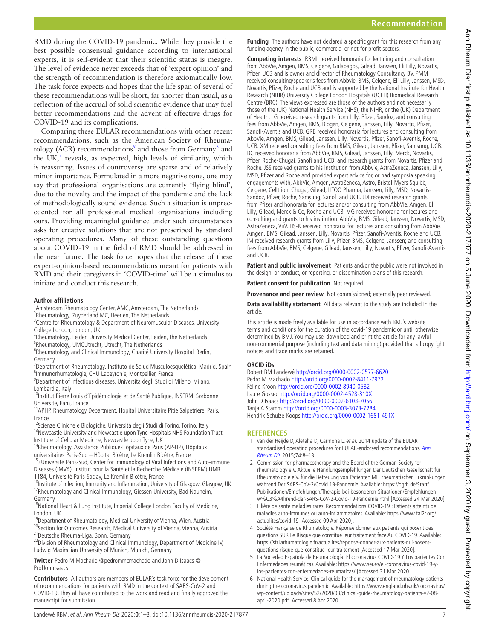RMD during the COVID-19 pandemic. While they provide the best possible consensual guidance according to international experts, it is self-evident that their scientific status is meagre. The level of evidence never exceeds that of 'expert opinion' and the strength of recommendation is therefore axiomatically low. The task force expects and hopes that the life span of several of these recommendations will be short, far shorter than usual, as a reflection of the accrual of solid scientific evidence that may fuel better recommendations and the advent of effective drugs for COVID-19 and its complications.

Comparing these EULAR recommendations with other recent recommendations, such as the American Society of Rheuma-tology (ACR) recommendations<sup>[9](#page-7-2)</sup> and those from Germany<sup>[2](#page-6-1)</sup> and the UK, $^7$  $^7$  reveals, as expected, high levels of similarity, which is reassuring. Issues of controversy are sparse and of relatively minor importance. Formulated in a more negative tone, one may say that professional organisations are currently 'flying blind', due to the novelty and the impact of the pandemic and the lack of methodologically sound evidence. Such a situation is unprecedented for all professional medical organisations including ours. Providing meaningful guidance under such circumstances asks for creative solutions that are not prescribed by standard operating procedures. Many of these outstanding questions about COVID-19 in the field of RMD should be addressed in the near future. The task force hopes that the release of these expert-opinion-based recommendations meant for patients with RMD and their caregivers in 'COVID-time' will be a stimulus to initiate and conduct this research.

#### **Author affiliations**

<sup>1</sup> Amsterdam Rheumatology Center, AMC, Amsterdam, The Netherlands <sup>2</sup>Rheumatology, Zuyderland MC, Heerlen, The Netherlands

<sup>3</sup> Centre for Rheumatology & Department of Neuromuscular Diseases, University College London, London, UK

- 4 Rheumatology, Leiden University Medical Center, Leiden, The Netherlands
- <sup>5</sup>Rheumatology, UMCUtrecht, Utrecht, The Netherlands

<sup>6</sup>Rheumatology and Clinical Immunology, Charité University Hospital, Berlin, Germany

<sup>7</sup>Depratment of Rheumatology, Instituto de Salud Musculoesquelética, Madrid, Spain 8 Immunorhumatologie, CHU Lapeyronie, Montpellier, France

9 Department of infectious diseases, Universita degli Studi di Milano, Milano, Lombardia, Italy

10Institut Pierre Louis d'Epidémiologie et de Santé Publique, INSERM, Sorbonne Universite, Paris, France

<sup>11</sup> APHP, Rheumatology Department, Hopital Universitaire Pitie Salpetriere, Paris, France

<sup>12</sup>Scienze Cliniche e Biologiche, Università degli Studi di Torino, Torino, Italy <sup>13</sup>Newcastle University and Newcastle upon Tyne Hospitals NHS Foundation Trust, Institute of Cellular Medicine, Newcastle upon Tyne, UK

14Rheumatology, Assistance Publique-Hôpitaux de Paris (AP-HP), Hôpitaux<br>universitaires Paris-Sud - Hôpital Bicêtre, Le Kremlin Bicêtre, France

<sup>15</sup>3Université Paris-Sud, Center for Immunology of Viral Infections and Auto-immune Diseases (IMVA), Institut pour la Santé et la Recherche Médicale (INSERM) UMR

1184, Université Paris-Saclay, Le Kremlin Bicêtre, France<br><sup>16</sup>Institute of Infection, Immunity and Inflammation, University of Glasgow, Glasgow, UK <sup>17</sup>Rheumatology and Clinical Immunology, Giessen University, Bad Nauheim, Germany

<sup>18</sup>National Heart & Lung Institute, Imperial College London Faculty of Medicine, London, UK

<sup>19</sup>Department of Rheumatology, Medical University of Vienna, Wien, Austria <sup>20</sup>Section for Outcomes Research, Medical University of Vienna, Vienna, Austria<sup>21</sup> Deutsche Rheuma-Liga, Bonn, Germany

<sup>22</sup>Division of Rheumatology and Clinical Immunology, Department of Medicine IV, Ludwig Maximilian University of Munich, Munich, Germany

**Contributors** All authors are members of EULAR's task force for the development of recommendations for patients with RMD in the context of SARS-CoV-2 and

**Twitter** Pedro M Machado [@pedrommcmachado](https://twitter.com/pedrommcmachado) and John D Isaacs [@](https://twitter.com/ProfJohnIsaacs) [ProfJohnIsaacs](https://twitter.com/ProfJohnIsaacs)

MSD, Pfizer and Roche and provided expert advice for, or had symposia speaking engagements with, AbbVie, Amgen, AstraZeneca, Astro, Bristol-Myers Squibb, Celgene, Celltrion, Chugai, Gilead, ILTOO Pharma, Janssen, Lilly, MSD, Novartis-Sandoz, Pfizer, Roche, Samsung, Sanofi and UCB. JDI received research grants from Pfizer and honoraria for lectures and/or consulting from AbbVie, Amgen, Eli Lilly, Gilead, Merck & Co, Roche and UCB. MG received honoraria for lectures and consulting and grants to his institution: AbbVie, BMS, Gilead, Janssen, Novartis, MSD, AstraZeneca, ViiV. HS-K received honoraria for lectures and consulting from AbbVie, Amgen, BMS, Gilead, Janssen, Lilly, Novartis, Pfizer, Sanofi-Aventis, Roche and UCB. IM received research grants from Lilly, Pfizer, BMS, Celgene, Janssen; and consulting fees from AbbVie, BMS, Celgene, Gilead, Janssen, Lilly, Novartis, Pfizer, Sanofi-Aventis and UCB.

**Funding** The authors have not declared a specific grant for this research from any

**Competing interests** RBML received honoraria for lecturing and consultation from AbbVie, Amgen, BMS, Celgene, Galapagos, Gilead, Janssen, Eli Lilly, Novartis, Pfizer, UCB and is owner and director of Rheumatology Consultancy BV. PMM received consulting/speaker's fees from Abbvie, BMS, Celgene, Eli Lilly, Janssen, MSD, Novartis, Pfizer, Roche and UCB and is supported by the National Institute for Health Research (NIHR) University College London Hospitals (UCLH) Biomedical Research Centre (BRC). The views expressed are those of the authors and not necessarily those of the (UK) National Health Service (NHS), the NIHR, or the (UK) Department of Health. LG received research grants from Lilly, Pfizer, Sandoz; and consulting fees from AbbVie, Amgen, BMS, Biogen, Celgene, Janssen, Lilly, Novartis, Pfizer, Sanofi-Aventis and UCB. GRB received honoraria for lectures and consulting from AbbVie, Amgen, BMS, Gilead, Janssen, Lilly, Novartis, Pfizer, Sanofi-Aventis, Roche, UCB. XM received consulting fees from BMS, Gilead, Janssen, Pfizer, Samsung, UCB. BC received honoraria from AbbVie, BMS, Gilead, Janssen, Lilly, Merck, Novartis, Pfizer, Roche-Chugai, Sanofi and UCB; and research grants from Novartis, Pfizer and Roche. JSS received grants to his institution from Abbvie, AstraZeneca, Janssen, Lilly,

funding agency in the public, commercial or not-for-profit sectors.

**Patient and public involvement** Patients and/or the public were not involved in the design, or conduct, or reporting, or dissemination plans of this research.

**Patient consent for publication** Not required.

**Provenance and peer review** Not commissioned; externally peer reviewed.

**Data availability statement** All data relevant to the study are included in the article.

This article is made freely available for use in accordance with BMJ's website terms and conditions for the duration of the covid-19 pandemic or until otherwise determined by BMJ. You may use, download and print the article for any lawful, non-commercial purpose (including text and data mining) provided that all copyright notices and trade marks are retained.

#### **ORCID iDs**

Robert BM Landewé <http://orcid.org/0000-0002-0577-6620> Pedro M Machado <http://orcid.org/0000-0002-8411-7972> Féline Kroon <http://orcid.org/0000-0002-8940-0582> Laure Gossec <http://orcid.org/0000-0002-4528-310X> John D Isaacs <http://orcid.org/0000-0002-6103-7056> Tanja A Stamm <http://orcid.org/0000-0003-3073-7284> Hendrik Schulze-Koops <http://orcid.org/0000-0002-1681-491X>

## **References**

- <span id="page-6-0"></span>1 van der Heijde D, Aletaha D, Carmona L, et al. 2014 update of the EULAR standardised operating procedures for EULAR-endorsed recommendations. Ann [Rheum Dis](http://dx.doi.org/10.1136/annrheumdis-2014-206350) 2015;74:8–13.
- <span id="page-6-1"></span>2 Commission for pharmacotherapy and the Board of the German Society for rheumatology e.V. Aktuelle Handlungsempfehlungen Der Deutschen Gesellschaft für Rheumatologie e.V. für die Betreuung von Patienten MIT rheumatischen Erkrankungen während Der SARS-CoV-2/Covid 19-Pandemie. Available: [https://dgrh.de/Start/](https://dgrh.de/Start/Publikationen/Empfehlungen/Therapie-bei-besonderen-Situationen/Empfehlungen-w%C3%A4hrend-der-SARS-CoV-2-Covid-19-Pandemie.html) [Publikationen/Empfehlungen/Therapie-bei-besonderen-Situationen/Empfehlungen](https://dgrh.de/Start/Publikationen/Empfehlungen/Therapie-bei-besonderen-Situationen/Empfehlungen-w%C3%A4hrend-der-SARS-CoV-2-Covid-19-Pandemie.html)[w%C3%A4hrend-der-SARS-CoV-2-Covid-19-Pandemie.html](https://dgrh.de/Start/Publikationen/Empfehlungen/Therapie-bei-besonderen-Situationen/Empfehlungen-w%C3%A4hrend-der-SARS-CoV-2-Covid-19-Pandemie.html) [Accessed 24 Mar 2020].
- <span id="page-6-2"></span>3 Filière de santé maladies rares. Recommandations COVID-19 : Patients atteints de maladies auto-immunes ou auto-inflammatoires. Available: [https://www.fai2r.org/](https://www.fai2r.org/actualites/covid-19) [actualites/covid-19](https://www.fai2r.org/actualites/covid-19) [Accessed 09 Apr 2020].
- 4 Société Française de Rhumatologie. Réponse donner aux patients qui posent des questions SUR Le Risque que constitue leur traitement face Au COVID-19. Available: [https://sfr.larhumatologie.fr/actualites/reponse-donner-aux-patients-qui-posent](https://sfr.larhumatologie.fr/actualites/reponse-donner-aux-patients-qui-posent-questions-risque-que-constitue-leur-traitement)[questions-risque-que-constitue-leur-traitement](https://sfr.larhumatologie.fr/actualites/reponse-donner-aux-patients-qui-posent-questions-risque-que-constitue-leur-traitement) [Accessed 17 Mar 2020].
- <span id="page-6-3"></span>5 La Sociedad Española de Reumatología. El coronavirus COVID-19 Y Los pacientes Con Enfermedades reumáticas. Available: [https://www.ser.es/el-coronavirus-covid-19-y](https://www.ser.es/el-coronavirus-covid-19-y-los-pacientes-con-enfermedades-reumaticas/)[los-pacientes-con-enfermedades-reumaticas/](https://www.ser.es/el-coronavirus-covid-19-y-los-pacientes-con-enfermedades-reumaticas/) [Accessed 31 Mar 2020].
- <span id="page-6-4"></span>6 National Health Service. Clinical guide for the management of rheumatology patients during the coronavirus pandemic. Available: [https://www.england.nhs.uk/coronavirus/](https://www.england.nhs.uk/coronavirus/wp-content/uploads/sites/52/2020/03/clinical-guide-rheumatology-patients-v2-08-april-2020.pdf) [wp-content/uploads/sites/52/2020/03/clinical-guide-rheumatology-patients-v2-08](https://www.england.nhs.uk/coronavirus/wp-content/uploads/sites/52/2020/03/clinical-guide-rheumatology-patients-v2-08-april-2020.pdf) [april-2020.pdf](https://www.england.nhs.uk/coronavirus/wp-content/uploads/sites/52/2020/03/clinical-guide-rheumatology-patients-v2-08-april-2020.pdf) [Accessed 8 Apr 2020].